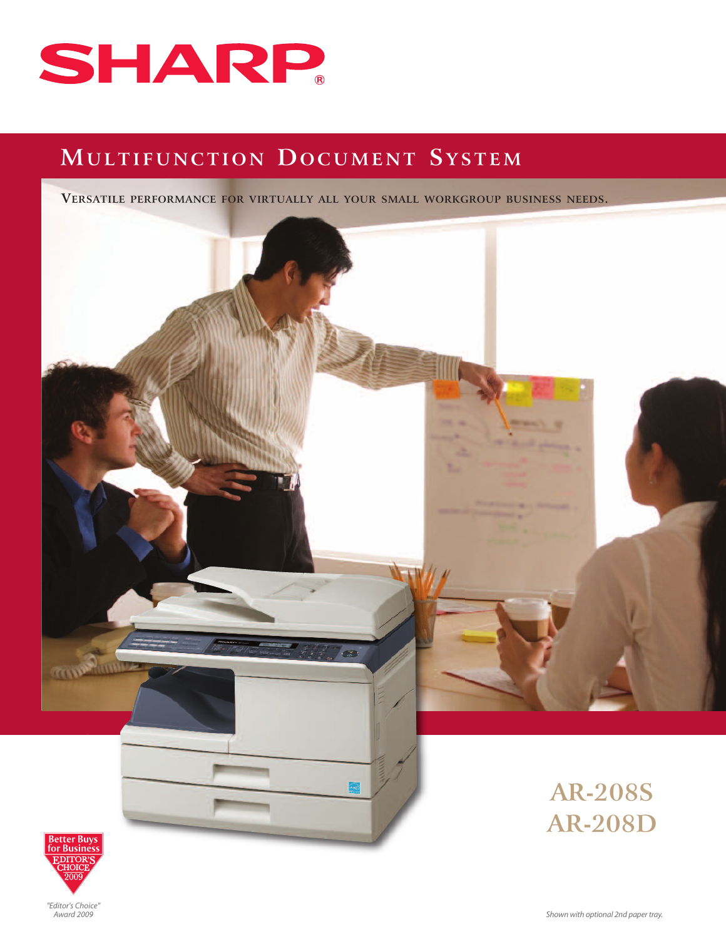

# **MU L T I F U N C T I O N DO C UME N T S Y S T EM**

**VERSATILE PERFORMANCE FOR VIRTUALLY ALL YOUR SMALL WORKGROUP BUSINESS NEEDS.**





**AR-208S AR-208D**

*"Editor's Choice" Award 2009*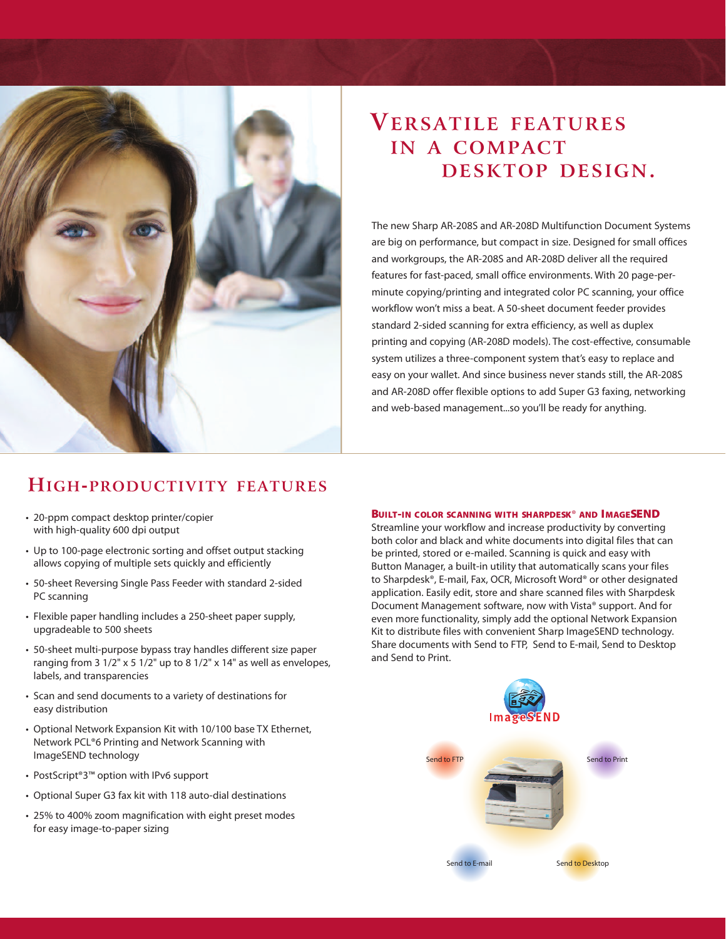

# **VERSATILE FEATURES IN A COMPACT DESKTOP DESIGN.**

The new Sharp AR-208S and AR-208D Multifunction Document Systems are big on performance, but compact in size. Designed for small offices and workgroups, the AR-208S and AR-208D deliver all the required features for fast-paced, small office environments. With 20 page-perminute copying/printing and integrated color PC scanning, your office workflow won't miss a beat. A 50-sheet document feeder provides standard 2-sided scanning for extra efficiency, as well as duplex printing and copying (AR-208D models). The cost-effective, consumable system utilizes a three-component system that's easy to replace and easy on your wallet. And since business never stands still, the AR-208S and AR-208D offer flexible options to add Super G3 faxing, networking and web-based management...so you'll be ready for anything.

# **HIGH-PRODUCTIVITY FEATURES**

- 20-ppm compact desktop printer/copier with high-quality 600 dpi output
- Up to 100-page electronic sorting and offset output stacking allows copying of multiple sets quickly and efficiently
- 50-sheet Reversing Single Pass Feeder with standard 2-sided PC scanning
- Flexible paper handling includes a 250-sheet paper supply, upgradeable to 500 sheets
- 50-sheet multi-purpose bypass tray handles different size paper ranging from 3 1/2" x 5 1/2" up to 8 1/2" x 14" as well as envelopes, labels, and transparencies
- Scan and send documents to a variety of destinations for easy distribution
- Optional Network Expansion Kit with 10/100 base TX Ethernet, Network PCL®6 Printing and Network Scanning with ImageSEND technology
- PostScript®3™ option with IPv6 support
- Optional Super G3 fax kit with 118 auto-dial destinations
- 25% to 400% zoom magnification with eight preset modes for easy image-to-paper sizing

## **BUILT-IN COLOR SCANNING WITH SHARPDESK**® **AND IMAGESEND**

Streamline your workflow and increase productivity by converting both color and black and white documents into digital files that can be printed, stored or e-mailed. Scanning is quick and easy with Button Manager, a built-in utility that automatically scans your files to Sharpdesk®, E-mail, Fax, OCR, Microsoft Word® or other designated application. Easily edit, store and share scanned files with Sharpdesk Document Management software, now with Vista® support. And for even more functionality, simply add the optional Network Expansion Kit to distribute files with convenient Sharp ImageSEND technology. Share documents with Send to FTP, Send to E-mail, Send to Desktop and Send to Print.

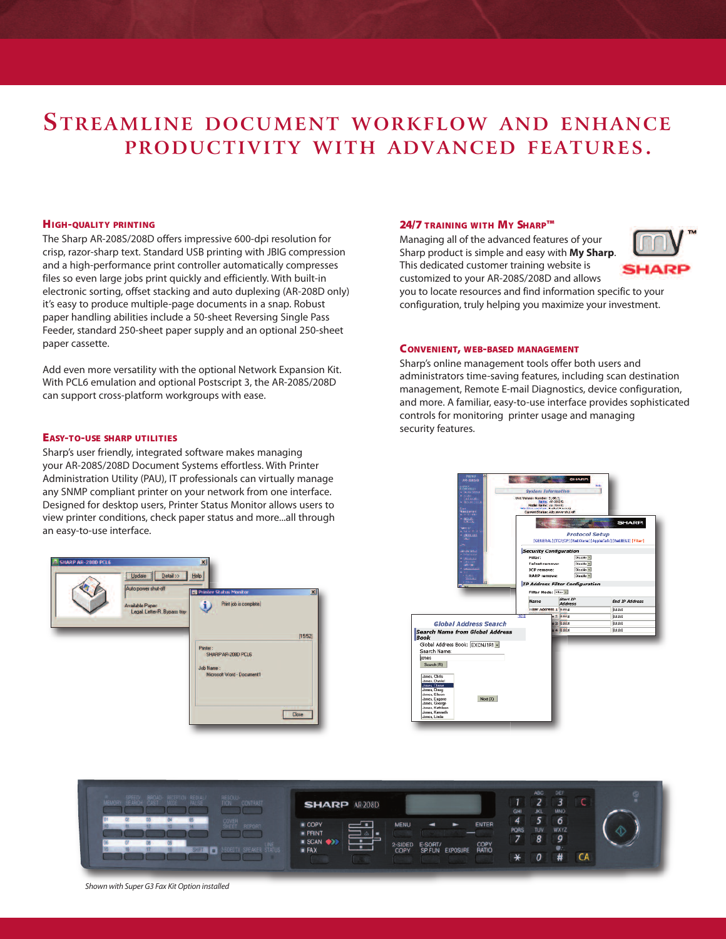# **STREAMLINE DOCUMENT WORKFLOW AND ENHANCE PRODUCTIVITY WITH ADVANCED FEATURES.**

#### **HIGH-QUALITY PRINTING**

The Sharp AR-208S/208D offers impressive 600-dpi resolution for crisp, razor-sharp text. Standard USB printing with JBIG compression and a high-performance print controller automatically compresses files so even large jobs print quickly and efficiently. With built-in electronic sorting, offset stacking and auto duplexing (AR-208D only) it's easy to produce multiple-page documents in a snap. Robust paper handling abilities include a 50-sheet Reversing Single Pass Feeder, standard 250-sheet paper supply and an optional 250-sheet paper cassette.

Add even more versatility with the optional Network Expansion Kit. With PCL6 emulation and optional Postscript 3, the AR-208S/208D can support cross-platform workgroups with ease.

## **EASY-TO-USE SHARP UTILITIES**

Sharp's user friendly, integrated software makes managing your AR-208S/208D Document Systems effortless. With Printer Administration Utility (PAU), IT professionals can virtually manage any SNMP compliant printer on your network from one interface. Designed for desktop users, Printer Status Monitor allows users to view printer conditions, check paper status and more...all through an easy-to-use interface.



## **24/7 TRAINING WITH MY SHARP™**

Managing all of the advanced features of your Sharp product is simple and easy with **My Sharp**. This dedicated customer training website is customized to your AR-208S/208D and allows



you to locate resources and find information specific to your configuration, truly helping you maximize your investment.

#### **CONVENIENT, WEB-BASED MANAGEMENT**

Sharp's online management tools offer both users and administrators time-saving features, including scan destination management, Remote E-mail Diagnostics, device configuration, and more. A familiar, easy-to-use interface provides sophisticated controls for monitoring printer usage and managing security features.





*Shown with Super G3 Fax Kit Option installed*